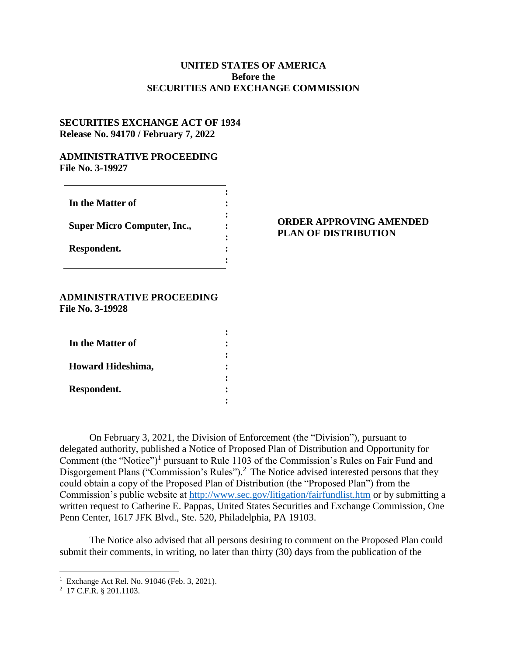# **UNITED STATES OF AMERICA Before the SECURITIES AND EXCHANGE COMMISSION**

## **SECURITIES EXCHANGE ACT OF 1934 Release No. 94170 / February 7, 2022**

### **ADMINISTRATIVE PROCEEDING File No. 3-19927**

| In the Matter of                   |  |
|------------------------------------|--|
| <b>Super Micro Computer, Inc.,</b> |  |
| Respondent.                        |  |
|                                    |  |

### **ORDER APPROVING AMENDED PLAN OF DISTRIBUTION**

#### **ADMINISTRATIVE PROCEEDING File No. 3-19928**

| In the Matter of  |  |
|-------------------|--|
| Howard Hideshima, |  |
| Respondent.       |  |

On February 3, 2021, the Division of Enforcement (the "Division"), pursuant to delegated authority, published a Notice of Proposed Plan of Distribution and Opportunity for Comment (the "Notice")<sup>1</sup> pursuant to Rule 1103 of the Commission's Rules on Fair Fund and Disgorgement Plans ("Commission's Rules").<sup>2</sup> The Notice advised interested persons that they could obtain a copy of the Proposed Plan of Distribution (the "Proposed Plan") from the Commission's public website at<http://www.sec.gov/litigation/fairfundlist.htm> or by submitting a written request to Catherine E. Pappas, United States Securities and Exchange Commission, One Penn Center, 1617 JFK Blvd., Ste. 520, Philadelphia, PA 19103.

The Notice also advised that all persons desiring to comment on the Proposed Plan could submit their comments, in writing, no later than thirty (30) days from the publication of the

 1 Exchange Act Rel. No. 91046 (Feb. 3, 2021).

<sup>2</sup> 17 C.F.R. § 201.1103.